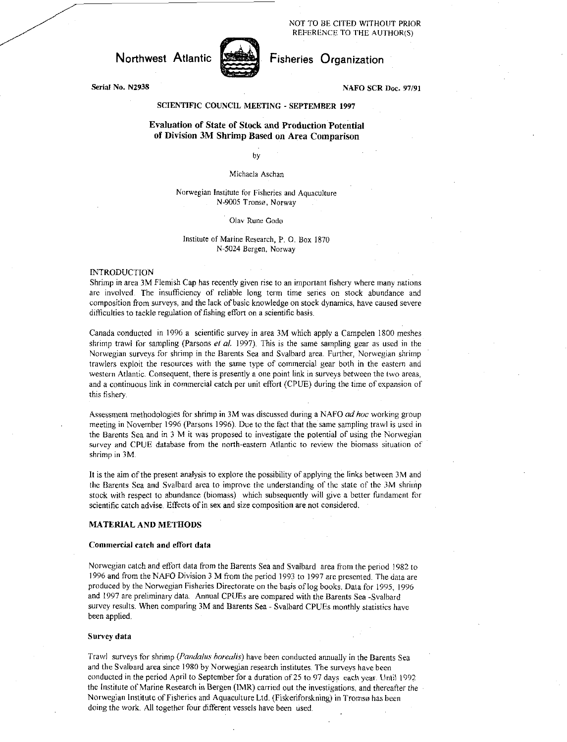NOT TO BE CITED WITHOUT PRIOR REFERENCE TO THE AUTHOR(S)

Northwest Atlantic **Fisheries** Organization



# Serial No. N2938 NAFO SCR Doc. 97/91

### SCIENTIFIC COUNCIL MEETING - SEPTEMBER 1997

## Evaluation of State of Stock and Production Potential of Division 3M Shrimp Based on Area Comparison

### by

### Michaela Aschan

### Norwegian Institute for Fisheries and Aquaculture N-9005 Tronso, Norway

#### Olav Rune Godo

#### Institute of Marine. Research, P. 0. Box 1870 N-5024 Bergen, Norway

#### INTRODUCTION

Shrimp in area 3M Flemish Cap has recently given rise to an important fishery where many nations are involved The insufficiency of reliable long term time series on stock abundance and composition from surveys, and the lack of basic knowledge on stock dynamics, have caused severe difficulties to tackle regulation of fishing effort on a scientific basis.

Canada conducted in 1996 a scientific survey in area 3M which apply a Campelen 1800 meshes shrimp trawl for sampling (Parsons *et al.* 1997). This is the same sampling gear as used in the Norwegian surveys for shrimp in the Barents Sea and Svalbard area. Further, Norwegian shrimp trawlers exploit the resources with the same type of commercial gear both in the eastern and western Atlantic. Consequent, there is presently a one point link in surveys between the two areas, and a continuous link in commercial catch per unit effort (CPUE) during the time of expansion of this fishery.

Assessment methodologies for shrimp in 3M was discussed during a NAFO *ad hoc* working group meeting in November 1996 (Parsons 1996). Due to the fact that the same sampling trawl is used in the Barents Sea and in 3 M it was proposed to investigate the potential of using the Norwegian survey and CPUE database from the north-eastern Atlantic to review the biomass situation of shrimp in 3M.

It is the aim of the present analysis to explore the possibility of applying the links between 3M and the Barents Sea and Svalbard area to improve the understanding of the state of the 3M shrinip stock with respect to abundance (biomass) which subsequently will give a better fundament for scientific catch advise. Effects of in sex and size composition are not considered.

### MATERIAL AND METHODS

#### Commercial catch and effort data

Norwegian catch and effort data from the Barents Sea and Svalbard area from the period 1982 to 1996 and from the NAFO Division 3 M from the period 1993 to 1997 are presented. The data are produced by the Norwegian Fisheries Directorate on the basis of log books. Data for 1995, 1996 and 1997 are preliminary data. Annual CPUEs are compared with the Barents Sea -Svalbard survey results. When comparing 3M and Barents Sea - Svalbard CPUEs monthly statistics have been applied.

#### Survey data

Trawl surveys for shrimp *(Randall's borealis)* have been conducted annually in the Barents Sea and the Svalbard area since 1980 by Norwegian research institutes. The surveys have been conducted in the period April to September for a duration of 25 to 97 days each year. Until 1992 the Institute of Marine Research in Bergen (IMR) carried out the investigations, and thereafter the Norwegian Institute of Fisheries and Aquaculture Ltd. (Fiskeriforskning) in Tromso has been doing the work. All together four different vessels have been used.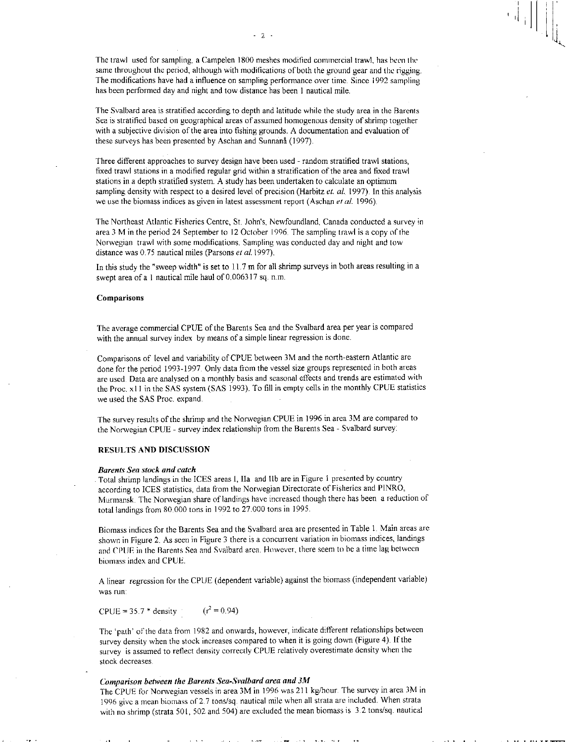The trawl used for sampling, a Campelen 1800 meshes modified commercial trawl, has been the same throughout the period, although with modifications of both the ground gear and the rigging. The modifications have had a influence on sampling performance over time. Since 1992 sampling has been performed day and night and tow distance has been 1 nautical mile.

The Svalbard area is stratified according to depth and latitude while the study area in the Barents Sea is stratified based on geographical areas of assumed homogenous density of shrimp together with a subjective division of the area into fishing grounds. A documentation and evaluation of these surveys has been presented by Aschan and Sunnanå (1997).

Three different approaches to survey design have been used - random stratified trawl stations, fixed trawl stations in a modified regular grid within a stratification of the area and fixed trawl stations in a depth stratified system. A study has been undertaken to calculate an optimum sampling density with respect to a desired level of precision (Harbitz et. al. 1997). In this analysis we use the biomass indices as given in latest assessment report (Aschan et al. 1996).

The Northeast Atlantic Fisheries Centre, St. John's, Newfoundland, Canada conducted a survey in area 3 M in the period 24 September to 12 October 1996. The sampling trawl is a copy of the Norwegian trawl with some modifications. Sampling was conducted day and night and tow distance was 0.75 nautical miles (Parsons *et* a/.1997).

In this study the "sweep width" is set to 11.7 m for all shrimp surveys in both areas resulting in a swept area of a 1 nautical mile haul of 0.006317 sq. n.m.

#### Comparisons

The average commercial CPUE of the Barents Sea and the Svalbard area per year is compared with the annual survey index by means of a simple linear regression is done.

Comparisons of level and variability of CPUE between 3M and the north-eastern Atlantic are done for the period 1993-1997. Only data from the vessel size groups represented in both areas are used. Data are analysed on a monthly basis and seasonal effects and trends are estimated with the Proc. x11 in the SAS system (SAS 1993). To fill in empty cells in the monthly CPUE statistics we used the SAS Proc. expand.

The survey results of the shrimp and the Norwegian CPUE in 1996 in area 3M are compared to the Norwegian CPUE - survey index relationship from the Barents Sea - Svalbard survey.

# RESULTS AND DISCUSSION

#### *Barents Sea stock and catch*

Total shrimp landings in the ICES areas I, Ha and Ilb are in Figure I presented by country according to ICES statistics, data from the Norwegian Directorate of Fisheries and PINRO, Murmansk. The Norwegian share of landings have increased though there has been a reduction of total landings from 80.000 tons in 1992 to 27.000 tons in 1995.

Biomass indices for the Barents Sea and the Svalbard area are presented in Table 1. Main areas are shown in Figure 2. As seen in Figure 3 there is a concurrent variation in biomass indices, landings and CPUE in the Barents Sea and Svalbard area. However, there seem to be a time lag between biomass index and CPUE.

A linear regression for the CPUE (dependent variable) against the biomass (independent variable) was run:

CPUE = 35.7 \* density  $(r^2 = 0.94)$ 

The 'path' of the data from 1982 and onwards, however, indicate different relationships between survey density when the stock increases compared to when it is going down (Figure 4). If the survey is assumed to reflect density correctly CPUE relatively overestimate density when the stock decreases .

## *Comparison between the Barents Sea-Svalbard area and 3M*

The CPUE for Norwegian vessels in area 3M in 1996 was 211 kg/hour. The survey in area 3M in 1996 give a mean biomass of 2.7 tons/sq. nautical mile when all strata are included. When strata with no shrimp (strata 501, 502 and 504) are excluded the mean biomass is 3.2 tons/sq. nautical

I IT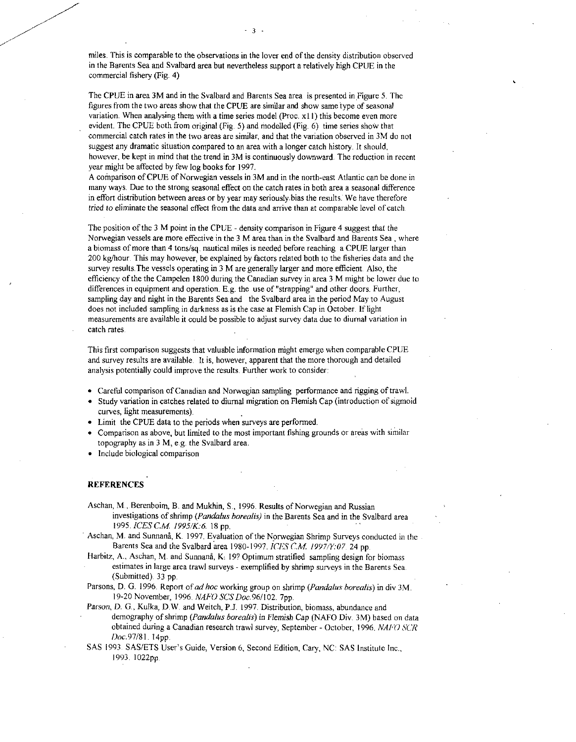miles. This is comparable to the observations in the lover end of the density distribution observed in the Barents Sea and Svalbard area but nevertheless support a relatively high CPUE in the commercial fishery (Fig. 4)

3

The CPUE in area 3M and in the Svalbard and Barents Sea area is presented in Figure 5. The figures from the two areas show that the CPUE are similar and show same type of seasonal variation. When analysing them with a time series model (Proc. x11) this become even more evident. The CPUE both from original (Fig. 5) and modelled (Fig. 6) time series show that commercial catch rates in the two areas are similar, and that the variation observed in 3M do not suggest any dramatic situation compared to an area with a longer catch history. It should, however, be kept in mind that the trend in 3M is continuously downward. The reduction in recent year might be affected by few log books for 1997.

A comparison of CPUE of Norwegian vessels in 3M and in the north-east Atlantic can be done in many ways. Due to the strong seasonal effect on the catch rates in both area a seasonal difference in effort distribution between areas or by year may seriously.bias the results: We have therefore *tried to* eliminate the seasonal effect from the data and arrive than at comparable level of catch.

The position of the 3 M point in the CPUE - density comparison in Figure 4 suggest that the Norwegian vessels are more effective in the 3 M area than in the Svalbard and Barents Sea , where a biomass of more than 4 tons/sq. nautical miles is needed before reaching a CPUE larger than 200 kg/hour. This may however, be explained by factors related both to the fisheries data and the survey results. The vessels operating in 3 M are generally larger and more efficient. Also, the efficiency of the the Campelen 1800 during the Canadian survey in area 3 M might be lower due to differences in equipment and operation. E.g. the use of "strapping" and other doors. Further, sampling day and night in the Barents Sea and the Svalbard area in the period May to August does not included sampling in darkness as is the case at Flemish Cap in October. If light measurements are available it could be possible to adjust survey data due to diurnal variation in catch rates.

This first comparison suggests that valuable information might emerge when comparable CPUE and survey results are available. It is, however, apparent that the more thorough and detailed analysis potentially could improve the results. Further work to consider:

- Careful comparison of Canadian and Norwegian sampling performance and rigging of trawl.
- Study variation in catches related to diurnal migration on Flemish Cap (introduction of sigmoid curves, light measurements).
- Limit the CPUE data to the periods when surveys are performed.
- Comparison as above, but limited to the most important fishing grounds or areas with similar topography as in 3 M, e.g. the Svalbard area.
- Include biological comparison

### **REFERENCES**

Aschan, M., Berenboirn, B. and Mukhin, S., 1996. Results of Norwegian and Russian investigations of shrimp *(Pandalus borealis)* in the Barents Sea and in the Svalbard area 1995. */CES* CM *1995/K:6* 18 pp.

Aschan, M. and Sunnanå, K. 1997. Evaluation of the Norwegian Shrimp Surveys conducted in the -Barents Sea and the Svalbard area 1980-1997. */CES C.M. 1997/Y:07* 24 pp.

- Harbitz, A., Aschan, M. and Sunnanå, K. 19? Optimum stratified sampling design for biomass estimates in large area trawl surveys - exemplified by shrimp surveys in the Barents Sea. (Submitted). 33 pp.
- Parsons, D. G. 1996. Report of *ad hoc* working group on shrimp *(Pandalus borealis)* in div 3M. 19-20 November, 1996. *NAFO SCSDoc.96/102.* 7pp.
- Parson, *D. G.*, Kulka, *D.W.* and Weitch, P.J. 1997. Distribution, biomass, abundance and demography of shrimp *(Pandalus borealis)* in Flemish Cap (NAFO Div. 3M) based on data obtained during a Canadian research trawl survey, September - October, 1996. *NAFO SCR* Doc.97/81. 14pp.
- SAS 1993 SAS/ETS User's Guide, Version 6, Second Edition, Cary, NC: SAS Institute Inc., 1993. 1022pp.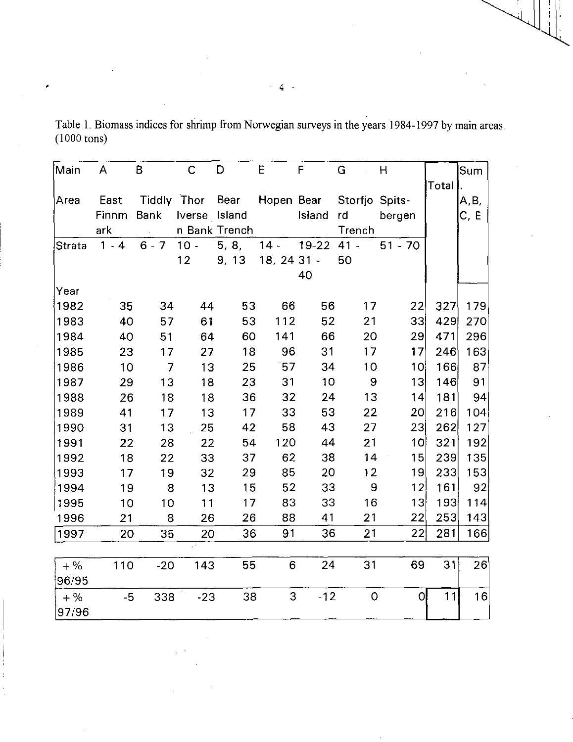| Main          | A       | B              | C             | D             | E           | F            | G              | Η               |       | Sum  |
|---------------|---------|----------------|---------------|---------------|-------------|--------------|----------------|-----------------|-------|------|
|               |         |                |               |               |             |              |                |                 | Total |      |
| Area          | East    |                | Tiddly Thor   | Bear          | Hopen Bear  |              | Storfjo Spits- |                 |       | A,B, |
|               | Finnm   | <b>Bank</b>    | Iverse Island |               |             | Island       | rd             | bergen          |       | C, E |
|               | ark     |                |               | n Bank Trench |             |              | Trench         |                 |       |      |
| <b>Strata</b> | $1 - 4$ | $6 - 7$        | $10 -$        | 5, 8,         | $14 -$      | $19-22$ 41 - |                | $51 - 70$       |       |      |
|               |         |                | 12            | 9, 13         | 18, 24 31 - |              | 50             |                 |       |      |
|               |         |                |               |               |             | 40           |                |                 |       |      |
| Year          |         |                |               |               |             |              |                |                 |       |      |
| 1982          | 35      | 34             | 44            | 53            | 66          | 56           | 17             | 22              | 327   | 179  |
| 1983          | 40      | 57             | 61            | 53            | 112         | 52           | 21             | 33              | 429   | 270  |
| 1984          | 40      | 51             | 64            | 60            | 141         | 66           | 20             | 29              | 471   | 296  |
| 1985          | 23      | 17             | 27            | 18            | 96          | 31           | 17             | 17 <sup>′</sup> | 246   | 163  |
| 1986          | 10      | $\overline{7}$ | 13            | 25            | $-57$       | 34           | 10             | 10              | 166   | 87   |
| 1987          | 29      | 13             | 18            | 23            | 31          | 10           | 9              | 13              | 146   | 91   |
| 1988          | 26      | 18             | 18            | 36            | 32          | 24           | 13             | 14              | 181   | 94   |
| 1989          | 41      | 17             | 13            | 17            | 33          | 53           | 22             | 20 <sub>l</sub> | 216   | 104  |
| 1990          | 31      | 13             | 25            | 42            | 58          | 43           | 27             | 23              | 262   | 127  |
| 1991          | 22      | 28             | 22            | 54            | 120         | 44           | 21             | 1이              | 321   | 192  |
| 1992          | 18      | 22             | 33            | 37            | 62          | 38           | 14             | 15              | 239   | 135  |
| 1993          | 17      | 19             | 32            | 29            | 85          | 20           | 12             | 19              | 233   | 153  |
| 1994          | 19      | 8              | 13            | 15            | 52          | 33           | 9              | 12              | 161   | 92   |
| 1995          | 10      | 10             | 11            | 17            | 83          | 33           | 16             | 3               | 193   | 114  |
| 1996          | 21      | 8              | 26            | 26            | 88          | 41           | 21             | 22              | 253   | 143  |
| 1997          | 20      | 35             | 20            | 36            | 91          | 36           | 21             | 22              | 281   | 166  |
|               |         |                |               |               |             |              |                |                 |       |      |
| $+$ %         | 110     | $-20$          | 143           | 55            | 6           | 24           | 31             | 69              | 31    | 26   |
| 96/95         |         |                |               |               |             |              |                |                 |       |      |
| $+$ %         | $-5$    | 338            | $-23$         | 38            | 3           | $-12$        | $\overline{O}$ | $\overline{O}$  | 11    | 16   |
| 97/96         |         |                |               |               |             |              |                |                 |       |      |

Table 1. Biomass indices for shrimp from Norwegian surveys in the years 1984-1997 by main areas. (1000 tons)

 $\overline{4}$ 

 $\pmb{\cdot}$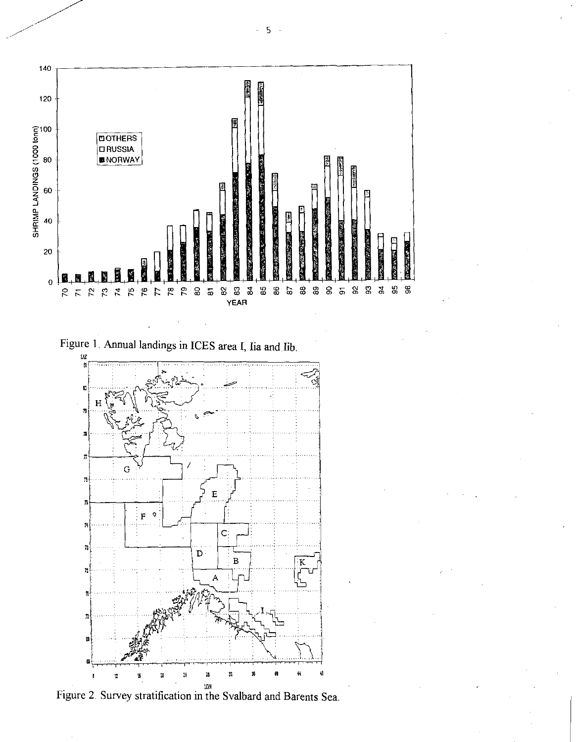



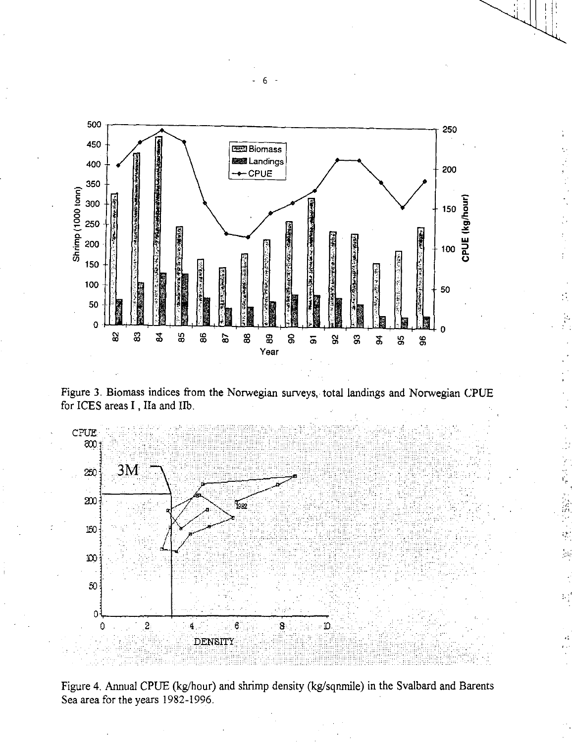

Figure 3. Biomass indices from the Norwegian surveys, total landings and Norwegian CPUE for ICES areas I , Ila and Ilb.



不可信

Figure 4. Annual CPUE (kg/hour) and shrimp density (kg/sqnmile) in the Svalbard and Barents Sea area for the years 1982-1996.

- 6